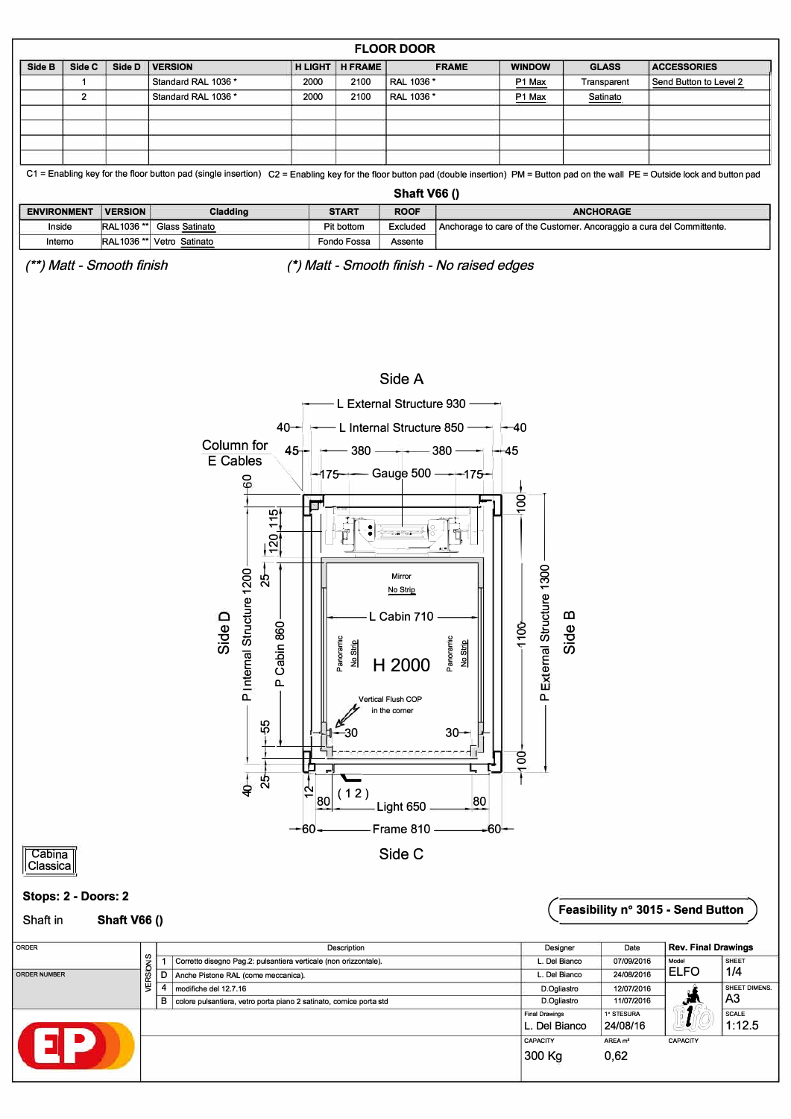

## Stops: 2 - Doors: 2

 $\overline{\text{Cabina}}$ 

Classica

## **Shaft V66 ()** Shaft in

## Feasibility n° 3015 - Send Button

| <b>ORDER</b>        |          |   | Description                                                         | Designer                              | Date                   | <b>Rev. Final Drawings</b> |                        |     |
|---------------------|----------|---|---------------------------------------------------------------------|---------------------------------------|------------------------|----------------------------|------------------------|-----|
|                     |          |   | Corretto disegno Pag.2: pulsantiera verticale (non orizzontale).    | L. Del Bianco                         | 07/09/2016             | Model                      | SHEET                  |     |
| <b>ORDER NUMBER</b> | VERSIONS |   |                                                                     | Anche Pistone RAL (come meccanica).   | L. Del Bianco          | 24/08/2016                 | <b>ELFO</b>            | 1/4 |
|                     |          |   | modifiche del 12.7.16                                               | D.Ogliastro                           | 12/07/2016             |                            | SHEET DIMENS.          |     |
|                     |          | в | colore pulsantiera, vetro porta piano 2 satinato, cornice porta std | D.Ogliastro                           | 11/07/2016             | ستعيد                      | A <sub>3</sub>         |     |
|                     |          |   |                                                                     | <b>Final Drawings</b><br>. Del Bianco | 1° STESURA<br>24/08/16 |                            | <b>SCALE</b><br>1:12.5 |     |
| E.                  |          |   |                                                                     | <b>CAPACITY</b>                       | AREA m <sup>2</sup>    | <b>CAPACITY</b>            |                        |     |
|                     |          |   |                                                                     | 300 Kg                                | 0,62                   |                            |                        |     |
|                     |          |   |                                                                     |                                       |                        |                            |                        |     |

Light 650 Frame 810 -

Side C

-30

 $(12)$ 

7

 $-60$ 

80

 $40-$ 8  $30<sub>1</sub>$ 

80

 $-60-$ 

 $\overline{5}$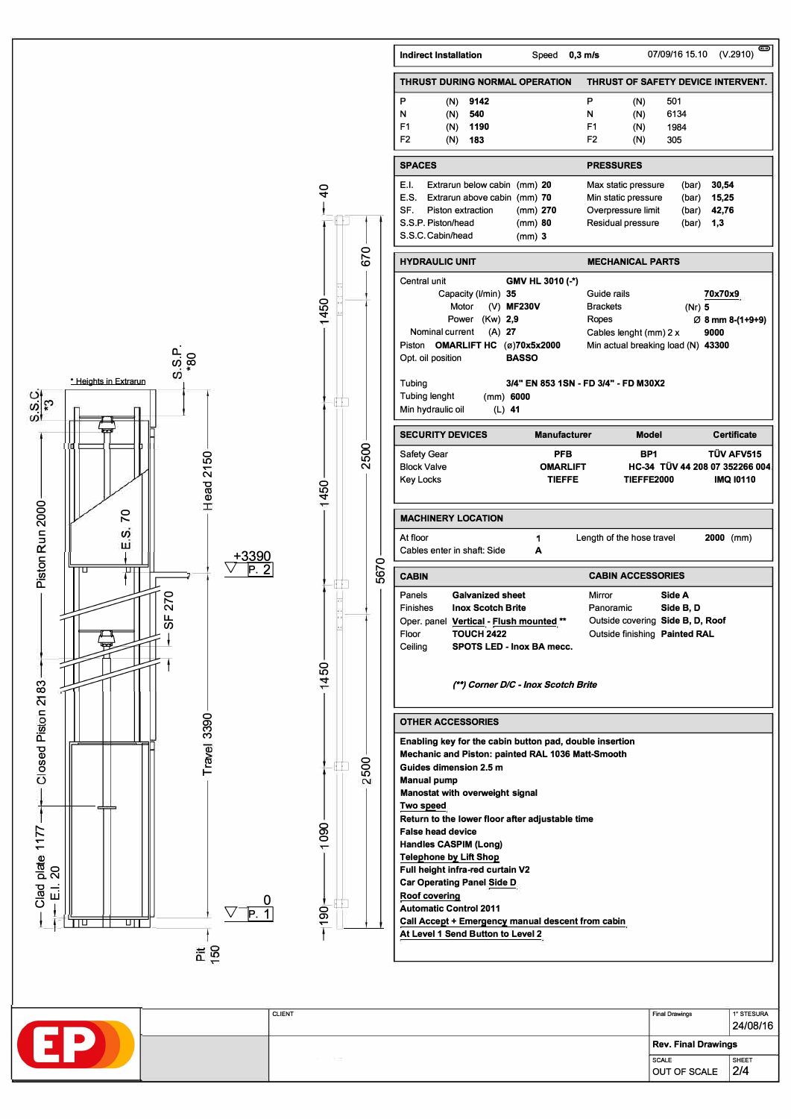

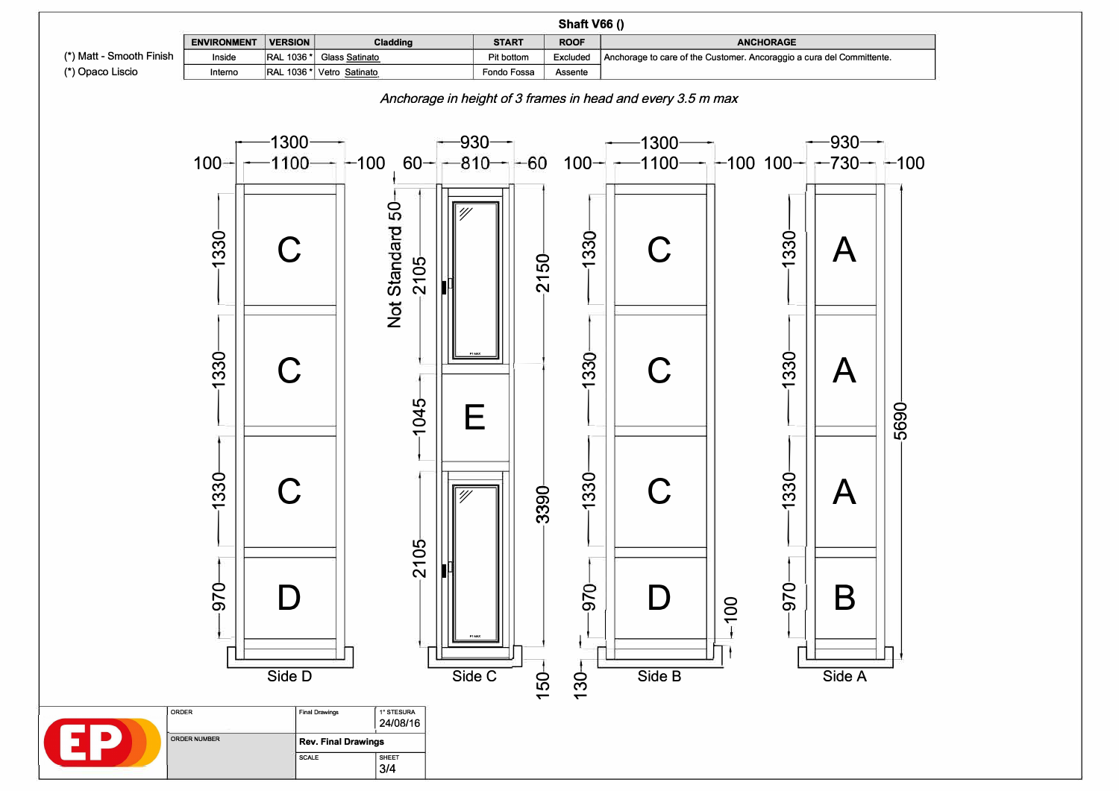